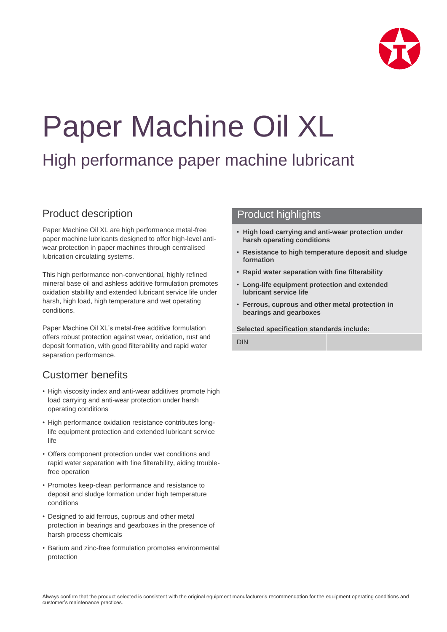

# Paper Machine Oil XL

# High performance paper machine lubricant

## Product description

Paper Machine Oil XL are high performance metal-free paper machine lubricants designed to offer high-level antiwear protection in paper machines through centralised lubrication circulating systems.

This high performance non-conventional, highly refined mineral base oil and ashless additive formulation promotes oxidation stability and extended lubricant service life under harsh, high load, high temperature and wet operating conditions.

Paper Machine Oil XL's metal-free additive formulation offers robust protection against wear, oxidation, rust and deposit formation, with good filterability and rapid water separation performance.

# Customer benefits

- High viscosity index and anti-wear additives promote high load carrying and anti-wear protection under harsh operating conditions
- High performance oxidation resistance contributes longlife equipment protection and extended lubricant service life
- Offers component protection under wet conditions and rapid water separation with fine filterability, aiding troublefree operation
- Promotes keep-clean performance and resistance to deposit and sludge formation under high temperature conditions
- Designed to aid ferrous, cuprous and other metal protection in bearings and gearboxes in the presence of harsh process chemicals
- Barium and zinc-free formulation promotes environmental protection

#### Product highlights

- **High load carrying and anti-wear protection under harsh operating conditions**
- **Resistance to high temperature deposit and sludge formation**
- **Rapid water separation with fine filterability**
- **Long-life equipment protection and extended lubricant service life**
- **Ferrous, cuprous and other metal protection in bearings and gearboxes**

**Selected specification standards include:**

DIN